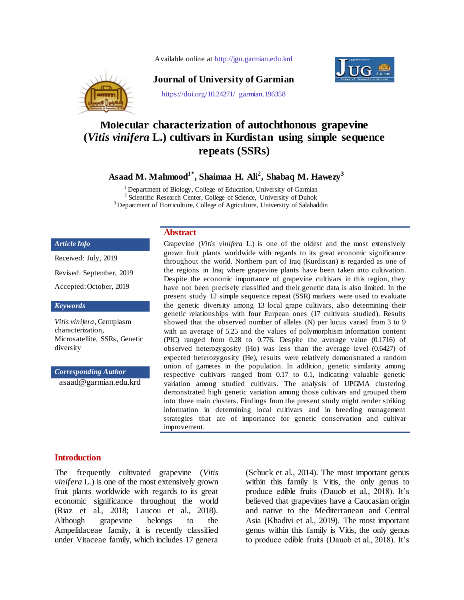Available online at http://jgu.garmian.edu.krd



### **Journal of University of Garmian**



https://doi.org/10.24271/ garmian.196358

# **Molecular characterization of autochthonous grapevine (***Vitis vinifera* **L.) cultivars in Kurdistan using simple sequence repeats (SSRs)**

**Asaad M. Mahmood1\*, Shaimaa H. Ali<sup>2</sup> , Shabaq M. Hawezy<sup>3</sup>**

<sup>1</sup> Department of Biology, College of Education, University of Garmian <sup>2</sup> Scientific Research Center, College of Science, University of Duhok

<sup>3</sup> Department of Horticulture, College of Agriculture, University of Salahaddin

#### *Article Info*

Received: July, 2019 Revised: September, 2019 Accepted:October, 2019

*Keywords*

*Vitis vinifera*, Germplasm characterization, Microsatellite, SSRs, Genetic diversity

*Corresponding Author*

[asaad@garmian.edu.krd](mailto:ayad.palani@garmian.edu.krd)

### **Abstract**

Grapevine (*Vitis vinifera* L.) is one of the oldest and the most extensively grown fruit plants worldwide with regards to its great economic significance throughout the world. Northern part of Iraq (Kurdistan) is regarded as one of the regions in Iraq where grapevine plants have been taken into cultivation. Despite the economic importance of grapevine cultivars in this region, they have not been precisely classified and their genetic data is also limited. In the present study 12 simple sequence repeat (SSR) markers were used to evaluate the genetic diversity among 13 local grape cultivars, also determining their genetic relationships with four Eurpean ones (17 cultivars studied). Results showed that the observed number of alleles (N) per locus varied from 3 to 9 with an average of 5.25 and the values of polymorphism information content (PIC) ranged from 0.28 to 0.776. Despite the average value (0.1716) of observed heterozygosity (Ho) was less than the average level (0.6427) of expected heterozygosity (He), results were relatively demonstrated a random union of gametes in the population. In addition, genetic similarity among respective cultivars ranged from 0.17 to 0.1, indicating valuable genetic variation among studied cultivars. The analysis of UPGMA clustering demonstrated high genetic variation among those cultivars and grouped them into three main clusters. Findings from the present study might render striking information in determining local cultivars and in breeding management strategies that are of importance for genetic conservation and cultivar improvement.

#### **Introduction**

The frequently cultivated grapevine (*Vitis vinifera* L.) is one of the most extensively grown fruit plants worldwide with regards to its great economic significance throughout the world (Riaz et al., 2018; Laucou et al., 2018). Although grapevine belongs to the Ampelidaceae family, it is recently classified under Vitaceae family, which includes 17 genera

(Schuck et al., 2014). The most important genus within this family is Vitis, the only genus to produce edible fruits (Dauob et al., 2018). It's believed that grapevines have a Caucasian origin and native to the Mediterranean and Central Asia (Khadivi et al., 2019). The most important genus within this family is Vitis, the only genus to produce edible fruits (Dauob et al., 2018). It's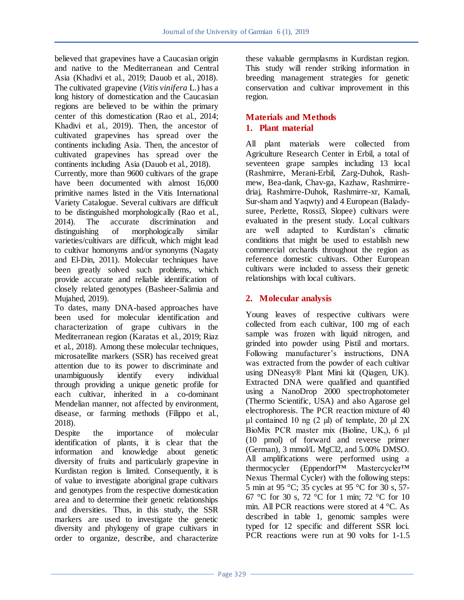believed that grapevines have a Caucasian origin and native to the Mediterranean and Central Asia (Khadivi et al., 2019; Dauob et al., 2018). The cultivated grapevine (*Vitis vinifera* L.) has a long history of domestication and the Caucasian regions are believed to be within the primary center of this domestication (Rao et al., 2014; Khadivi et al., 2019). Then, the ancestor of cultivated grapevines has spread over the continents including Asia. Then, the ancestor of cultivated grapevines has spread over the continents including Asia (Dauob et al., 2018).

Currently, more than 9600 cultivars of the grape have been documented with almost 16,000 primitive names listed in the Vitis International Variety Catalogue. Several cultivars are difficult to be distinguished morphologically (Rao et al., 2014). The accurate discrimination and  $2014$ ). The accurate discrimination distinguishing of morphologically similar varieties/cultivars are difficult, which might lead to cultivar homonyms and/or synonyms (Nagaty and El-Din, 2011). Molecular techniques have been greatly solved such problems, which provide accurate and reliable identification of closely related genotypes (Basheer-Salimia and Mujahed, 2019).

To dates, many DNA-based approaches have been used for molecular identification and characterization of grape cultivars in the Mediterranean region (Karatas et al., 2019; Riaz et al., 2018). Among these molecular techniques, microsatellite markers (SSR) has received great attention due to its power to discriminate and unambiguously identify every individual through providing a unique genetic profile for each cultivar, inherited in a co-dominant Mendelian manner, not affected by environment, disease, or farming methods (Filippo et al., 2018).

Despite the importance of molecular identification of plants, it is clear that the information and knowledge about genetic diversity of fruits and particularly grapevine in Kurdistan region is limited. Consequently, it is of value to investigate aboriginal grape cultivars and genotypes from the respective domestication area and to determine their genetic relationships and diversities. Thus, in this study, the SSR markers are used to investigate the genetic diversity and phylogeny of grape cultivars in order to organize, describe, and characterize

these valuable germplasms in Kurdistan region. This study will render striking information in breeding management strategies for genetic conservation and cultivar improvement in this region.

## **Materials and Methods 1. Plant material**

All plant materials were collected from Agriculture Research Center in Erbil, a total of seventeen grape samples including 13 local (Rashmirre, Merani-Erbil, Zarg-Duhok, Rashmew, Bea-dank, Chav-ga, Kazhaw, Rashmirredriaj, Rashmirre-Duhok, Rashmirre-xr, Kamali, Sur-sham and Yaqwty) and 4 European (Baladysuree, Perlette, Rossi3, Slopee) cultivars were evaluated in the present study. Local cultivars are well adapted to Kurdistan's climatic conditions that might be used to establish new commercial orchards throughout the region as reference domestic cultivars. Other European cultivars were included to assess their genetic relationships with local cultivars.

# **2. Molecular analysis**

Young leaves of respective cultivars were collected from each cultivar, 100 mg of each sample was frozen with liquid nitrogen, and grinded into powder using Pistil and mortars. Following manufacturer's instructions, DNA was extracted from the powder of each cultivar using DNeasy® Plant Mini kit (Qiagen, UK). Extracted DNA were qualified and quantified using a NanoDrop 2000 spectrophotometer (Thermo Scientific, USA) and also Agarose gel electrophoresis. The PCR reaction mixture of 40 μl contained 10 ng  $(2 \mu l)$  of template, 20 μl 2X BioMix PCR master mix (Bioline, UK,), 6 μl (10 pmol) of forward and reverse primer (German), 3 mmol/L MgCl2, and 5.00% DMSO. All amplifications were performed using a thermocycler (Eppendorf™ Mastercycler™ Nexus Thermal Cycler) with the following steps: 5 min at 95 °C; 35 cycles at 95 °C for 30 s, 57- 67 °C for 30 s, 72 °C for 1 min; 72 °C for 10 min. All PCR reactions were stored at 4 °C. As described in table 1, genomic samples were typed for 12 specific and different SSR loci. PCR reactions were run at 90 volts for 1-1.5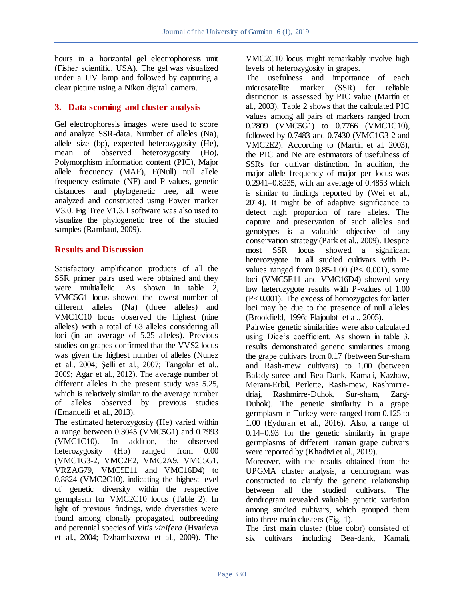hours in a horizontal gel electrophoresis unit (Fisher scientific, USA). The gel was visualized under a UV lamp and followed by capturing a clear picture using a Nikon digital camera.

### **3. Data scorning and cluster analysis**

Gel electrophoresis images were used to score and analyze SSR-data. Number of alleles (Na), allele size (bp), expected heterozygosity (He), mean of observed heterozygosity (Ho), Polymorphism information content (PIC), Major allele frequency (MAF), F(Null) null allele frequency estimate (NF) and P-values, genetic distances and phylogenetic tree, all were analyzed and constructed using Power marker V3.0. Fig Tree V1.3.1 software was also used to visualize the phylogenetic tree of the studied samples (Rambaut, 2009).

### **Results and Discussion**

Satisfactory amplification products of all the SSR primer pairs used were obtained and they were multiallelic. As shown in table 2, VMC5G1 locus showed the lowest number of different alleles (Na) (three alleles) and VMC1C10 locus observed the highest (nine alleles) with a total of 63 alleles considering all loci (in an average of 5.25 alleles). Previous studies on grapes confirmed that the VVS2 locus was given the highest number of alleles (Nunez et al., 2004; Şelli et al., 2007; Tangolar et al., 2009; Agar et al., 2012). The average number of different alleles in the present study was 5.25, which is relatively similar to the average number of alleles observed by previous studies (Emanuelli et al., 2013).

The estimated heterozygosity (He) varied within a range between 0.3045 (VMC5G1) and 0.7993 (VMC1C10). In addition, the observed heterozygosity (Ho) ranged from 0.00 (VMC1G3-2, VMC2E2, VMC2A9, VMC5G1, VRZAG79, VMC5E11 and VMC16D4) to 0.8824 (VMC2C10), indicating the highest level of genetic diversity within the respective germplasm for VMC2C10 locus (Table 2). In light of previous findings, wide diversities were found among clonally propagated, outbreeding and perennial species of *Vitis vinifera* (Hvarleva et al., 2004; Dzhambazova et al., 2009). The

VMC2C10 locus might remarkably involve high levels of heterozygosity in grapes.

The usefulness and importance of each microsatellite marker (SSR) for reliable distinction is assessed by PIC value (Martín et al., 2003). Table 2 shows that the calculated PIC values among all pairs of markers ranged from 0.2809 (VMC5G1) to 0.7766 (VMC1C10), followed by 0.7483 and 0.7430 (VMC1G3-2 and VMC2E2). According to (Martin et al. 2003), the PIC and Ne are estimators of usefulness of SSRs for cultivar distinction. In addition, the major allele frequency of major per locus was 0.2941–0.8235, with an average of 0.4853 which is similar to findings reported by (Wei et al., 2014). It might be of adaptive significance to detect high proportion of rare alleles. The capture and preservation of such alleles and genotypes is a valuable objective of any conservation strategy (Park et al., 2009). Despite most SSR locus showed a significant heterozygote in all studied cultivars with Pvalues ranged from  $0.85$ -1.00 (P< 0.001), some loci (VMC5E11 and VMC16D4) showed very low heterozygote results with P-values of 1.00 (P< 0.001). The excess of homozygotes for latter loci may be due to the presence of null alleles (Brookfield, 1996; Flajoulot et al., 2005).

Pairwise genetic similarities were also calculated using Dice's coefficient. As shown in table 3, results demonstrated genetic similarities among the grape cultivars from 0.17 (between Sur-sham and Rash-mew cultivars) to 1.00 (between Balady-suree and Bea-Dank, Kamali, Kazhaw, Merani-Erbil, Perlette, Rash-mew, Rashmirredriaj, Rashmirre-Duhok, Sur-sham, Zarg-Duhok). The genetic similarity in a grape germplasm in Turkey were ranged from 0.125 to 1.00 (Eyduran et al., 2016). Also, a range of 0.14–0.93 for the genetic similarity in grape germplasms of different Iranian grape cultivars were reported by (Khadivi et al., 2019).

Moreover, with the results obtained from the UPGMA cluster analysis, a dendrogram was constructed to clarify the genetic relationship between all the studied cultivars. The dendrogram revealed valuable genetic variation among studied cultivars, which grouped them into three main clusters (Fig. 1).

The first main cluster (blue color) consisted of six cultivars including Bea-dank, Kamali,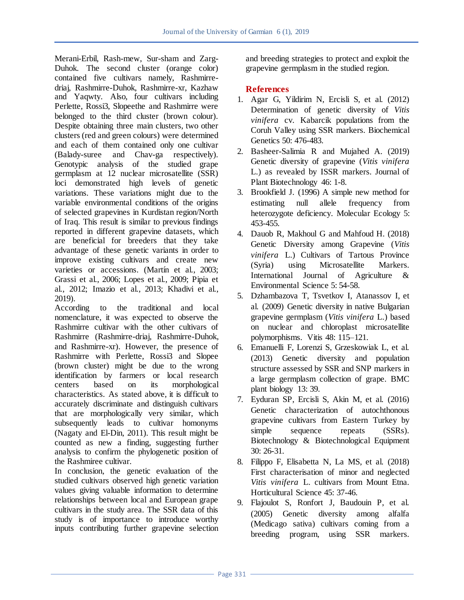Merani-Erbil, Rash-mew, Sur-sham and Zarg-Duhok. The second cluster (orange color) contained five cultivars namely, Rashmirredriaj, Rashmirre-Duhok, Rashmirre-xr, Kazhaw and Yaqwty. Also, four cultivars including Perlette, Rossi3, Slopeethe and Rashmirre were belonged to the third cluster (brown colour). Despite obtaining three main clusters, two other clusters (red and green colours) were determined and each of them contained only one cultivar (Balady-suree and Chav-ga respectively). Genotypic analysis of the studied grape germplasm at 12 nuclear microsatellite (SSR) loci demonstrated high levels of genetic variations. These variations might due to the variable environmental conditions of the origins of selected grapevines in Kurdistan region/North of Iraq. This result is similar to previous findings reported in different grapevine datasets, which are beneficial for breeders that they take advantage of these genetic variants in order to improve existing cultivars and create new varieties or accessions. (Martín et al., 2003; Grassi et al., 2006; Lopes et al., 2009; Pipia et al., 2012; Imazio et al., 2013; Khadivi et al., 2019).

According to the traditional and local nomenclature, it was expected to observe the Rashmirre cultivar with the other cultivars of Rashmirre (Rashmirre-driaj, Rashmirre-Duhok, and Rashmirre-xr). However, the presence of Rashmirre with Perlette, Rossi3 and Slopee (brown cluster) might be due to the wrong identification by farmers or local research centers based on its morphological characteristics. As stated above, it is difficult to accurately discriminate and distinguish cultivars that are morphologically very similar, which subsequently leads to cultivar homonyms (Nagaty and El-Din, 2011). This result might be counted as new a finding, suggesting further analysis to confirm the phylogenetic position of the Rashmiree cultivar.

In conclusion, the genetic evaluation of the studied cultivars observed high genetic variation values giving valuable information to determine relationships between local and European grape cultivars in the study area. The SSR data of this study is of importance to introduce worthy inputs contributing further grapevine selection and breeding strategies to protect and exploit the grapevine germplasm in the studied region.

### **References**

- 1. Agar G, Yildirim N, Ercisli S, et al. (2012) Determination of genetic diversity of *Vitis vinifera* cv. Kabarcik populations from the Coruh Valley using SSR markers. Biochemical Genetics 50: 476-483.
- 2. Basheer-Salimia R and Mujahed A. (2019) Genetic diversity of grapevine (*Vitis vinifera*  L.) as revealed by ISSR markers. Journal of Plant Biotechnology 46: 1-8.
- 3. Brookfield J. (1996) A simple new method for estimating null allele frequency from heterozygote deficiency. Molecular Ecology 5: 453-455.
- 4. Dauob R, Makhoul G and Mahfoud H. (2018) Genetic Diversity among Grapevine (*Vitis vinifera* L.) Cultivars of Tartous Province (Syria) using Microsatellite Markers. International Journal of Agriculture & Environmental Science 5: 54-58.
- 5. Dzhambazova T, Tsvetkov I, Atanassov I, et al. (2009) Genetic diversity in native Bulgarian grapevine germplasm (*Vitis vinifera* L.) based on nuclear and chloroplast microsatellite polymorphisms. Vitis 48: 115–121.
- 6. Emanuelli F, Lorenzi S, Grzeskowiak L, et al. (2013) Genetic diversity and population structure assessed by SSR and SNP markers in a large germplasm collection of grape. BMC plant biology 13: 39.
- 7. Eyduran SP, Ercisli S, Akin M, et al. (2016) Genetic characterization of autochthonous grapevine cultivars from Eastern Turkey by simple sequence repeats (SSRs). Biotechnology & Biotechnological Equipment 30: 26-31.
- 8. Filippo F, Elisabetta N, La MS, et al. (2018) First characterisation of minor and neglected *Vitis vinifera* L. cultivars from Mount Etna. Horticultural Science 45: 37-46.
- 9. Flajoulot S, Ronfort J, Baudouin P, et al. (2005) Genetic diversity among alfalfa (Medicago sativa) cultivars coming from a breeding program, using SSR markers.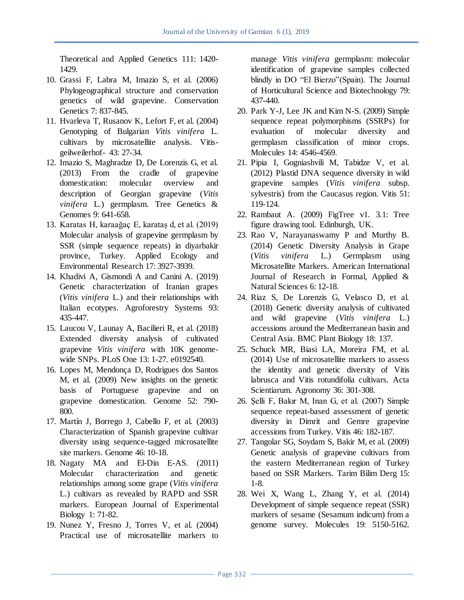Theoretical and Applied Genetics 111: 1420- 1429.

- 10. Grassi F, Labra M, Imazio S, et al. (2006) Phylogeographical structure and conservation genetics of wild grapevine. Conservation Genetics 7: 837-845.
- 11. Hvarleva T, Rusanov K, Lefort F, et al. (2004) Genotyping of Bulgarian *Vitis vinifera* L. cultivars by microsatellite analysis. Vitisgeilweilerhof- 43: 27-34.
- 12. Imazio S, Maghradze D, De Lorenzis G, et al. (2013) From the cradle of grapevine domestication: molecular overview and description of Georgian grapevine (*Vitis vinifera* L.) germplasm. Tree Genetics & Genomes 9: 641-658.
- 13. Karatas H, karaağaç E, karataş d, et al. (2019) Molecular analysis of grapevine germplasm by SSR (simple sequence repeats) in diyarbakir province, Turkey. Applied Ecology and Environmental Research 17: 3927-3939.
- 14. Khadivi A, Gismondi A and Canini A. (2019) Genetic characterization of Iranian grapes (*Vitis vinifera* L.) and their relationships with Italian ecotypes. Agroforestry Systems 93: 435-447.
- 15. Laucou V, Launay A, Bacilieri R, et al. (2018) Extended diversity analysis of cultivated grapevine *Vitis vinifera* with 10K genomewide SNPs. PLoS One 13: 1-27. e0192540.
- 16. Lopes M, Mendonça D, Rodrigues dos Santos M, et al. (2009) New insights on the genetic basis of Portuguese grapevine and on grapevine domestication. Genome 52: 790- 800.
- 17. Martín J, Borrego J, Cabello F, et al. (2003) Characterization of Spanish grapevine cultivar diversity using sequence-tagged microsatellite site markers. Genome 46: 10-18.
- 18. Nagaty MA and El-Din E-AS. (2011) Molecular characterization and genetic relationships among some grape (*Vitis vinifera*  L.) cultivars as revealed by RAPD and SSR markers. European Journal of Experimental Biology 1: 71-82.
- 19. Nunez Y, Fresno J, Torres V, et al. (2004) Practical use of microsatellite markers to

manage *Vitis vinifera* germplasm: molecular identification of grapevine samples collected blindly in DO "El Bierzo"(Spain). The Journal of Horticultural Science and Biotechnology 79: 437-440.

- 20. Park Y-J, Lee JK and Kim N-S. (2009) Simple sequence repeat polymorphisms (SSRPs) for evaluation of molecular diversity and germplasm classification of minor crops. Molecules 14: 4546-4569.
- 21. Pipia I, Gogniashvili M, Tabidze V, et al. (2012) Plastid DNA sequence diversity in wild grapevine samples (*Vitis vinifera* subsp. sylvestris) from the Caucasus region. Vitis 51: 119-124.
- 22. Rambaut A. (2009) FigTree v1. 3.1: Tree figure drawing tool. Edinburgh, UK.
- 23. Rao V, Narayanaswamy P and Murthy B. (2014) Genetic Diversity Analysis in Grape (*Vitis vinifera* L.) Germplasm using Microsatellite Markers. American International Journal of Research in Formal, Applied & Natural Sciences 6: 12-18.
- 24. Riaz S, De Lorenzis G, Velasco D, et al. (2018) Genetic diversity analysis of cultivated and wild grapevine (*Vitis vinifera* L.) accessions around the Mediterranean basin and Central Asia. BMC Plant Biology 18: 137.
- 25. Schuck MR, Biasi LA, Moreira FM, et al. (2014) Use of microsatellite markers to assess the identity and genetic diversity of Vitis labrusca and Vitis rotundifolia cultivars. Acta Scientiarum. Agronomy 36: 301-308.
- 26. Şelli F, Bakır M, Inan G, et al. (2007) Simple sequence repeat-based assessment of genetic diversity in Dimrit and Gemre grapevine accessions from Turkey. Vitis 46: 182-187.
- 27. Tangolar SG, Soydam S, Bakir M, et al. (2009) Genetic analysis of grapevine cultivars from the eastern Mediterranean region of Turkey based on SSR Markers. Tarim Bilim Derg 15: 1-8.
- 28. Wei X, Wang L, Zhang Y, et al. (2014) Development of simple sequence repeat (SSR) markers of sesame (Sesamum indicum) from a genome survey. Molecules 19: 5150-5162.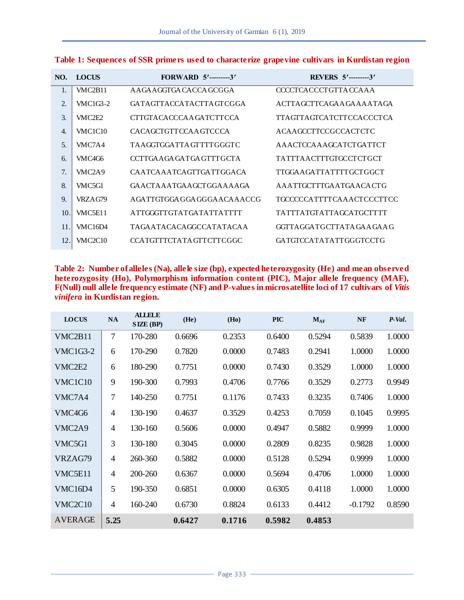| NO.          | LOCUS    | <b>FORWARD 5'---------3'</b>       | <b>REVERS</b> 5'---------3'     |
|--------------|----------|------------------------------------|---------------------------------|
| 1.           | VMC2B11  | A A GA A GGTGA CACCA GCGGA         | CCCCTCACCCTGTTACCAAA            |
| 2.           | VMC1G3-2 | GATAGTTACCATACTTAGTCGGA            | ACTTAGCTTCAGAAGAAAATAGA         |
| 3.           | VMC2E2   | CTTGTACACCCAAGATCTTCCA             | TTAGTTAGTCATCTTCCACCCTCA        |
| $\mathbf{4}$ | VMC1C10  | CACAGCTGTTCCAAGTCCCA               | ACAAGCCTTCCGCCACTCTC            |
| .5.          | VMC7A4   | TA A GGTGGA TTA GTTTTG GGTC        | AAACTCCAAAGCATCTGATTCT          |
| 6.           | VMC4G6   | CCTTGAAGAGATGAGTTTGCTA             | TATTTAACTTTGTGCCTCTGCT          |
| 7.           | VMC2A9   | CA A TCA A A TCA GTTGA TTGGA CA    | TTGGA A GA TTA TTTT GCT GGCT    |
| 8.           | VMC5G1   | GA ACTA A ATGA A GCT GGA A A A GA  | A A A TTGCTTTGA A TGA A CA CTG  |
| 9.           | VRZA G79 | A GA TTGTGGA GGA GGGA A CA A A CCG | TGCCCCCATTTTCAAACTCCCTTCC       |
| 10.          | VMC5E11  | ATTGGGTTGTATGATATTATTTT            | TATTTATGTATTAGCATGCTTTT         |
| 11.          | VMC16D4  | TAGAATACACAGGCCATATACAA            | GGTTA GGA TGCTTA TA GA A GA A G |
| 12.          | VMC2C10  | CCATGTTTCTATAGTTCTTCGGC            | GATGTCCATATATTGGGTCCTG          |
|              |          |                                    |                                 |

| Table 1: Sequences of SSR primers used to characterize grapevine cultivars in Kurdistan region |  |  |  |
|------------------------------------------------------------------------------------------------|--|--|--|
|                                                                                                |  |  |  |

**Table 2: Number of alleles (Na), allele size (bp), expected heterozygosity (He) and mean observed heterozygosity (Ho), Polymorphism information content (PIC), Major allele frequency (MAF), F(Null) null allele frequency estimate (NF) and P-values in microsatellite loci of 17 cultivars of** *Vitis vinifera* **in Kurdistan region.**

| <b>LOCUS</b>                     | <b>NA</b>      | <b>ALLELE</b><br>SIZE (BP) | (He)   | (Ho)   | <b>PIC</b> | $M_{AF}$ | NF        | $P-Val.$ |
|----------------------------------|----------------|----------------------------|--------|--------|------------|----------|-----------|----------|
| VMC <sub>2</sub> B <sub>11</sub> | 7              | 170-280                    | 0.6696 | 0.2353 | 0.6400     | 0.5294   | 0.5839    | 1.0000   |
| <b>VMC1G3-2</b>                  | 6              | 170-290                    | 0.7820 | 0.0000 | 0.7483     | 0.2941   | 1.0000    | 1.0000   |
| VMC <sub>2</sub> E <sub>2</sub>  | 6              | 180-290                    | 0.7751 | 0.0000 | 0.7430     | 0.3529   | 1.0000    | 1.0000   |
| VMC1C10                          | 9              | 190-300                    | 0.7993 | 0.4706 | 0.7766     | 0.3529   | 0.2773    | 0.9949   |
| VMC7A4                           | 7              | 140-250                    | 0.7751 | 0.1176 | 0.7433     | 0.3235   | 0.7406    | 1.0000   |
| VMC4G6                           | 4              | 130-190                    | 0.4637 | 0.3529 | 0.4253     | 0.7059   | 0.1045    | 0.9995   |
| VMC <sub>2</sub> A <sub>9</sub>  | $\overline{4}$ | 130-160                    | 0.5606 | 0.0000 | 0.4947     | 0.5882   | 0.9999    | 1.0000   |
| VMC5G1                           | 3              | 130-180                    | 0.3045 | 0.0000 | 0.2809     | 0.8235   | 0.9828    | 1.0000   |
| VRZAG79                          | 4              | 260-360                    | 0.5882 | 0.0000 | 0.5128     | 0.5294   | 0.9999    | 1.0000   |
| VMC5E11                          | 4              | 200-260                    | 0.6367 | 0.0000 | 0.5694     | 0.4706   | 1.0000    | 1.0000   |
| VMC16D4                          | 5              | 190-350                    | 0.6851 | 0.0000 | 0.6305     | 0.4118   | 1.0000    | 1.0000   |
| VMC2C10                          | $\overline{4}$ | 160-240                    | 0.6730 | 0.8824 | 0.6133     | 0.4412   | $-0.1792$ | 0.8590   |
| <b>AVERAGE</b>                   | 5.25           |                            | 0.6427 | 0.1716 | 0.5982     | 0.4853   |           |          |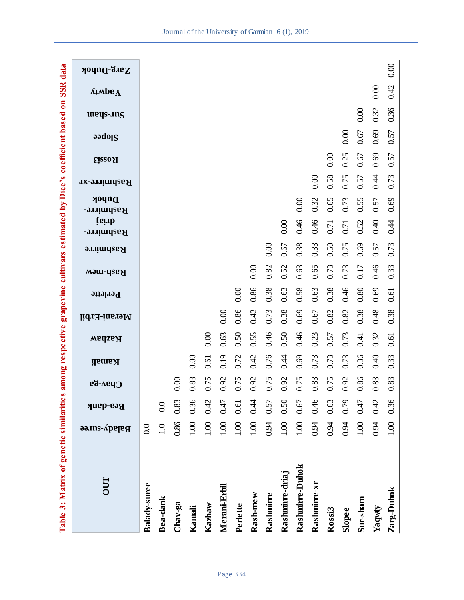| Table 3: Matrix of genetic similarities |                     |                 |                       |      |        |              |              |                 |          | among respective |                                    |                            |                     |                |          | grapevine cultivars estimated by Dice's coefficient based on | <b>SSR</b> data                    |
|-----------------------------------------|---------------------|-----------------|-----------------------|------|--------|--------------|--------------|-----------------|----------|------------------|------------------------------------|----------------------------|---------------------|----------------|----------|--------------------------------------------------------------|------------------------------------|
| <b>OUT</b>                              | <b>Balady-suree</b> | <b>Bea-dank</b> | $C$ <sub>bav-ga</sub> |      | Kamali | <b>Wadaw</b> | Merani-Erbil | <b>Perlette</b> | Rash-mew | <b>Rashmirre</b> | <b>figure</b><br><b>Rashmirre-</b> | Duhok<br><b>Rashmirre-</b> | <b>Rashmirre-xr</b> | <b>Eisso A</b> | Slopee   | weys-.ing                                                    | <b>Лирв<math>\mathbf{A}</math></b> |
| Balady-suree                            | 0.0                 |                 |                       |      |        |              |              |                 |          |                  |                                    |                            |                     |                |          |                                                              |                                    |
| Bea-dank                                | 1.0                 | 0.0             |                       |      |        |              |              |                 |          |                  |                                    |                            |                     |                |          |                                                              |                                    |
| Chav-ga                                 | 0.86                | $0.83\,$        | 0.00                  |      |        |              |              |                 |          |                  |                                    |                            |                     |                |          |                                                              |                                    |
| Kamali                                  | 1.00                | 0.36            | 0.83                  |      | 0.00   |              |              |                 |          |                  |                                    |                            |                     |                |          |                                                              |                                    |
| Kazhaw                                  | 1.00                | 0.42            | 0.75                  |      | 0.61   | 0.00         |              |                 |          |                  |                                    |                            |                     |                |          |                                                              |                                    |
| Merani-Erbil                            | 1.00                | 0.47            | 0.92                  |      | 0.19   | 0.63         | 0.00         |                 |          |                  |                                    |                            |                     |                |          |                                                              |                                    |
| Perlette                                | 1.00                | $0.61\,$        | 0.75                  | 0.72 |        | 0.50         | 0.86         | 0.00            |          |                  |                                    |                            |                     |                |          |                                                              |                                    |
| Rash-mew                                | 1.00                | 0.44            | 0.92                  | 0.42 |        | 0.55         | 0.42         | 0.86            | 0.00     |                  |                                    |                            |                     |                |          |                                                              |                                    |
| Rashmirre                               | 0.94                | 0.57            | 0.75                  | 0.76 |        | 0.46         | 0.73         | 0.38            | 0.82     | 0.00             |                                    |                            |                     |                |          |                                                              |                                    |
| Rashmirre-driaj                         | 1.00                | 0.50            | 0.92                  | 0.44 |        | 0.50         | 0.38         | 0.63            | 0.52     | 0.67             | 0.00                               |                            |                     |                |          |                                                              |                                    |
| Rashmirre-Duhok                         | 1.00                | $0.67\,$        | 0.75                  | 0.69 |        | 0.46         | 0.69         | 0.58            | 0.63     | 0.38             | 0.46                               | 0.00                       |                     |                |          |                                                              |                                    |
| Rashmirre-xr                            | 0.94                | 0.46            | 0.83                  | 0.73 |        | 0.23         | $0.67\,$     | 0.63            | 0.65     | 0.33             | 0.46                               | 0.32                       | 0.00                |                |          |                                                              |                                    |
| Rossi3                                  | 0.94                | 0.63            | 0.75                  | 0.73 |        | 0.57         | 0.82         | 0.38            | 0.73     | 0.50             | 0.71                               | 0.65                       | 0.58                | 0.00           |          |                                                              |                                    |
| Slopee                                  | 0.94                | 0.79            | 0.92                  | 0.73 |        | 0.73         | 0.82         | 0.46            | 0.73     | 0.75             | 0.71                               | 0.73                       | 0.75                | 0.25           | 0.00     |                                                              |                                    |
| Sur-sham                                | 1.00                | 0.47            | 0.86                  |      | 0.36   | 0.41         | 0.38         | 0.80            | 0.17     | 0.69             | 0.52                               | 0.55                       | 0.57                | $0.67\,$       | $0.67\,$ | 0.00                                                         |                                    |
| Yaqwty                                  | 0.94                | 0.42            | 0.83                  |      | 0.40   | 0.32         | 0.48         | 0.69            | 0.46     | 0.57             | 0.40                               | 0.57                       | 0.44                | 0.69           | 0.69     | 0.32                                                         | $_{0.00}$                          |
| Zarg-Duhok                              | 1.00                | 0.36            | 0.83                  |      | 0.33   | 0.61         | 0.38         | 0.61            | 0.33     | 0.73             | 0.41                               | 0.69                       | 0.73                | 0.57           | 0.57     | 0.36                                                         | 0.42                               |
|                                         |                     |                 |                       |      |        |              |              |                 |          |                  |                                    |                            |                     |                |          |                                                              |                                    |